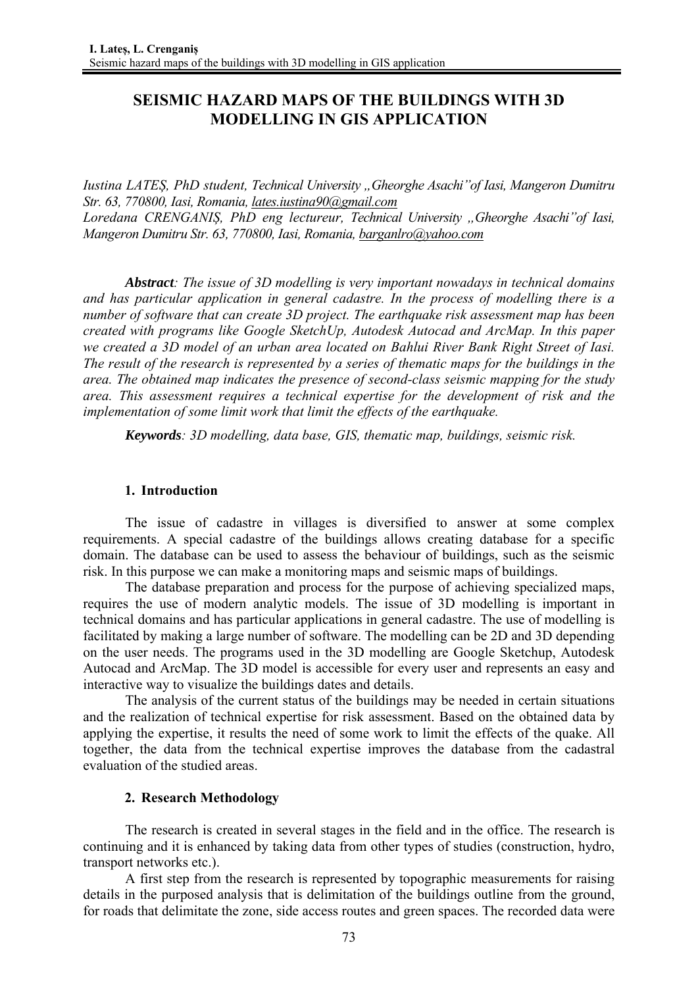# **SEISMIC HAZARD MAPS OF THE BUILDINGS WITH 3D MODELLING IN GIS APPLICATION**

*Iustina LATEȘ, PhD student, Technical University "Gheorghe Asachi"of Iasi, Mangeron Dumitru Str. 63, 770800, Iasi, Romania, lates.iustina90@gmail.com Loredana CRENGANIȘ, PhD eng lectureur, Technical University "Gheorghe Asachi"of Iasi, Mangeron Dumitru Str. 63, 770800, Iasi, Romania, barganlro@yahoo.com*

*Abstract: The issue of 3D modelling is very important nowadays in technical domains and has particular application in general cadastre. In the process of modelling there is a number of software that can create 3D project. The earthquake risk assessment map has been created with programs like Google SketchUp, Autodesk Autocad and ArcMap. In this paper we created a 3D model of an urban area located on Bahlui River Bank Right Street of Iasi. The result of the research is represented by a series of thematic maps for the buildings in the area. The obtained map indicates the presence of second-class seismic mapping for the study area. This assessment requires a technical expertise for the development of risk and the implementation of some limit work that limit the effects of the earthquake.*

*Keywords: 3D modelling, data base, GIS, thematic map, buildings, seismic risk.*

### **1. Introduction**

The issue of cadastre in villages is diversified to answer at some complex requirements. A special cadastre of the buildings allows creating database for a specific domain. The database can be used to assess the behaviour of buildings, such as the seismic risk. In this purpose we can make a monitoring maps and seismic maps of buildings.

The database preparation and process for the purpose of achieving specialized maps, requires the use of modern analytic models. The issue of 3D modelling is important in technical domains and has particular applications in general cadastre. The use of modelling is facilitated by making a large number of software. The modelling can be 2D and 3D depending on the user needs. The programs used in the 3D modelling are Google Sketchup, Autodesk Autocad and ArcMap. The 3D model is accessible for every user and represents an easy and interactive way to visualize the buildings dates and details.

The analysis of the current status of the buildings may be needed in certain situations and the realization of technical expertise for risk assessment. Based on the obtained data by applying the expertise, it results the need of some work to limit the effects of the quake. All together, the data from the technical expertise improves the database from the cadastral evaluation of the studied areas.

### **2. Research Methodology**

The research is created in several stages in the field and in the office. The research is continuing and it is enhanced by taking data from other types of studies (construction, hydro, transport networks etc.).

A first step from the research is represented by topographic measurements for raising details in the purposed analysis that is delimitation of the buildings outline from the ground, for roads that delimitate the zone, side access routes and green spaces. The recorded data were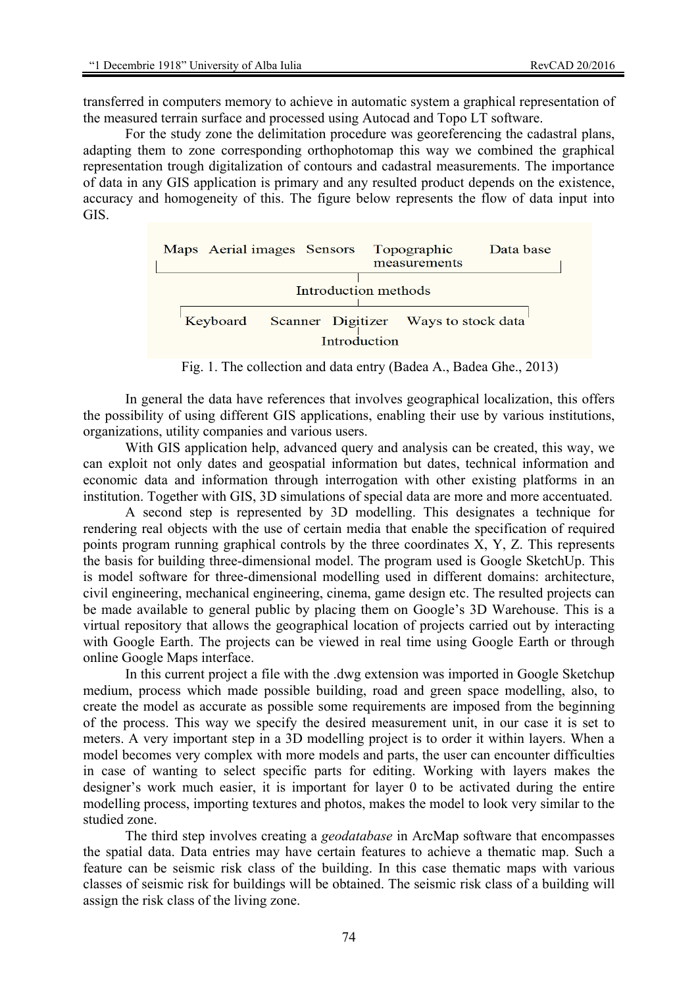transferred in computers memory to achieve in automatic system a graphical representation of the measured terrain surface and processed using Autocad and Topo LT software.

For the study zone the delimitation procedure was georeferencing the cadastral plans, adapting them to zone corresponding orthophotomap this way we combined the graphical representation trough digitalization of contours and cadastral measurements. The importance of data in any GIS application is primary and any resulted product depends on the existence, accuracy and homogeneity of this. The figure below represents the flow of data input into GIS.

| Maps Aerial images Sensors Topographic                        |  | measurements | Data base |
|---------------------------------------------------------------|--|--------------|-----------|
| Introduction methods                                          |  |              |           |
| Keyboard Scanner Digitizer Ways to stock data<br>Introduction |  |              |           |

Fig. 1. The collection and data entry (Badea A., Badea Ghe., 2013)

In general the data have references that involves geographical localization, this offers the possibility of using different GIS applications, enabling their use by various institutions, organizations, utility companies and various users.

With GIS application help, advanced query and analysis can be created, this way, we can exploit not only dates and geospatial information but dates, technical information and economic data and information through interrogation with other existing platforms in an institution. Together with GIS, 3D simulations of special data are more and more accentuated.

A second step is represented by 3D modelling. This designates a technique for rendering real objects with the use of certain media that enable the specification of required points program running graphical controls by the three coordinates X, Y, Z. This represents the basis for building three-dimensional model. The program used is Google SketchUp. This is model software for three-dimensional modelling used in different domains: architecture, civil engineering, mechanical engineering, cinema, game design etc. The resulted projects can be made available to general public by placing them on Google's 3D Warehouse. This is a virtual repository that allows the geographical location of projects carried out by interacting with Google Earth. The projects can be viewed in real time using Google Earth or through online Google Maps interface.

In this current project a file with the .dwg extension was imported in Google Sketchup medium, process which made possible building, road and green space modelling, also, to create the model as accurate as possible some requirements are imposed from the beginning of the process. This way we specify the desired measurement unit, in our case it is set to meters. A very important step in a 3D modelling project is to order it within layers. When a model becomes very complex with more models and parts, the user can encounter difficulties in case of wanting to select specific parts for editing. Working with layers makes the designer's work much easier, it is important for layer 0 to be activated during the entire modelling process, importing textures and photos, makes the model to look very similar to the studied zone.

The third step involves creating a *geodatabase* in ArcMap software that encompasses the spatial data. Data entries may have certain features to achieve a thematic map. Such a feature can be seismic risk class of the building. In this case thematic maps with various classes of seismic risk for buildings will be obtained. The seismic risk class of a building will assign the risk class of the living zone.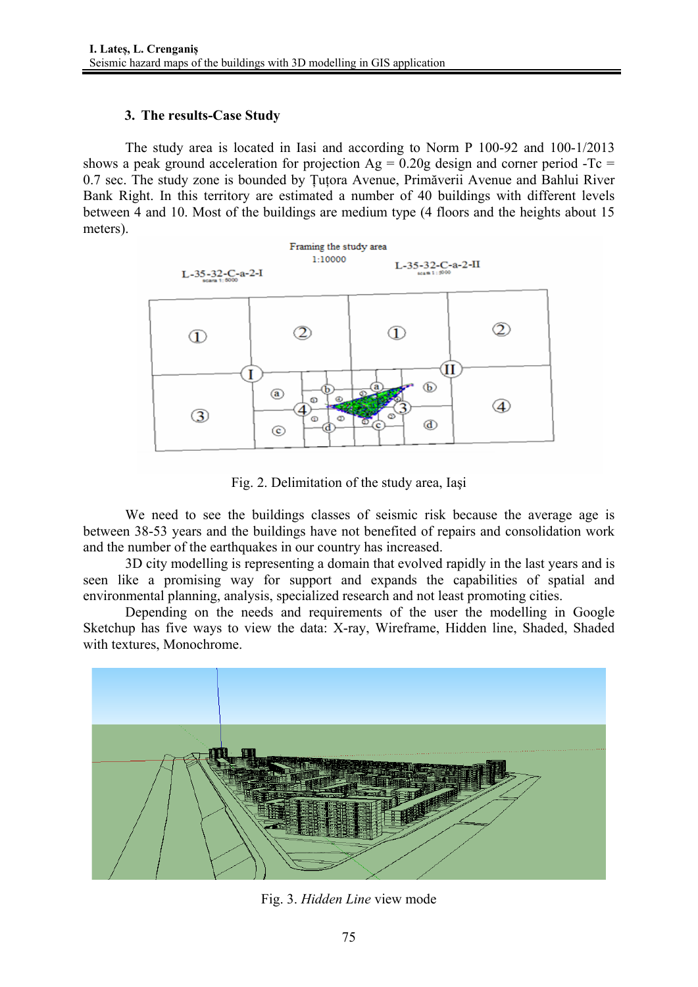## **3. The results-Case Study**

The study area is located in Iasi and according to Norm P 100-92 and 100-1/2013 shows a peak ground acceleration for projection  $Ag = 0.20g$  design and corner period -Tc = 0.7 sec. The study zone is bounded by Țuțora Avenue, Primăverii Avenue and Bahlui River Bank Right. In this territory are estimated a number of 40 buildings with different levels between 4 and 10. Most of the buildings are medium type (4 floors and the heights about 15 meters).



Fig. 2. Delimitation of the study area, Iaşi

We need to see the buildings classes of seismic risk because the average age is between 38-53 years and the buildings have not benefited of repairs and consolidation work and the number of the earthquakes in our country has increased.

3D city modelling is representing a domain that evolved rapidly in the last years and is seen like a promising way for support and expands the capabilities of spatial and environmental planning, analysis, specialized research and not least promoting cities.

Depending on the needs and requirements of the user the modelling in Google Sketchup has five ways to view the data: X-ray, Wireframe, Hidden line, Shaded, Shaded with textures, Monochrome.



Fig. 3. *Hidden Line* view mode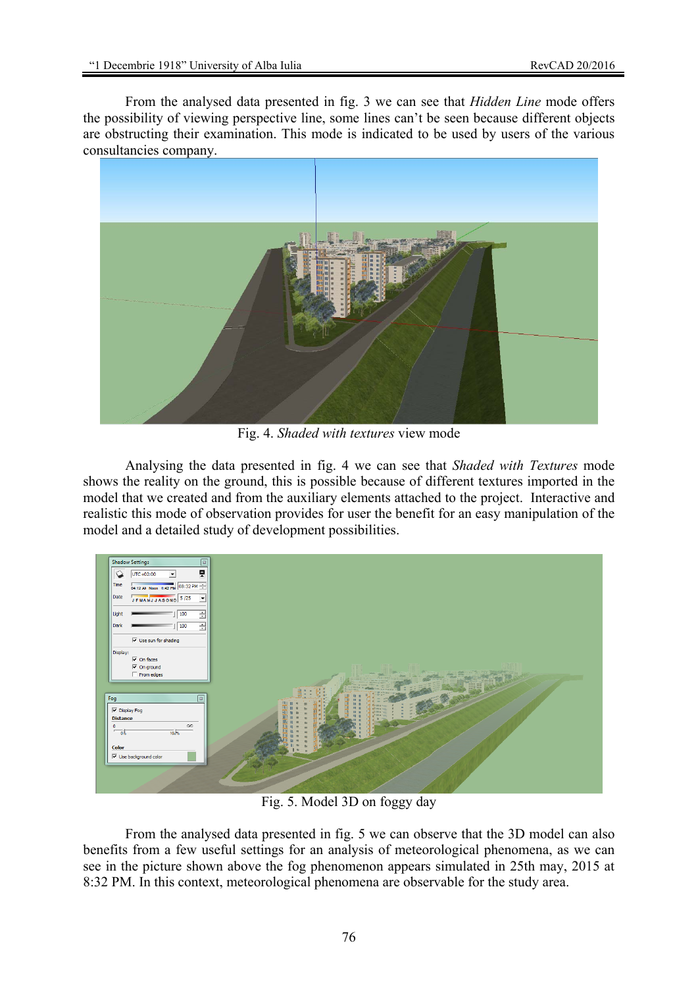From the analysed data presented in fig. 3 we can see that *Hidden Line* mode offers the possibility of viewing perspective line, some lines can't be seen because different objects are obstructing their examination. This mode is indicated to be used by users of the various consultancies company.



Fig. 4. *Shaded with textures* view mode

Analysing the data presented in fig. 4 we can see that *Shaded with Textures* mode shows the reality on the ground, this is possible because of different textures imported in the model that we created and from the auxiliary elements attached to the project. Interactive and realistic this mode of observation provides for user the benefit for an easy manipulation of the model and a detailed study of development possibilities.



Fig. 5. Model 3D on foggy day

From the analysed data presented in fig. 5 we can observe that the 3D model can also benefits from a few useful settings for an analysis of meteorological phenomena, as we can see in the picture shown above the fog phenomenon appears simulated in 25th may, 2015 at 8:32 PM. In this context, meteorological phenomena are observable for the study area.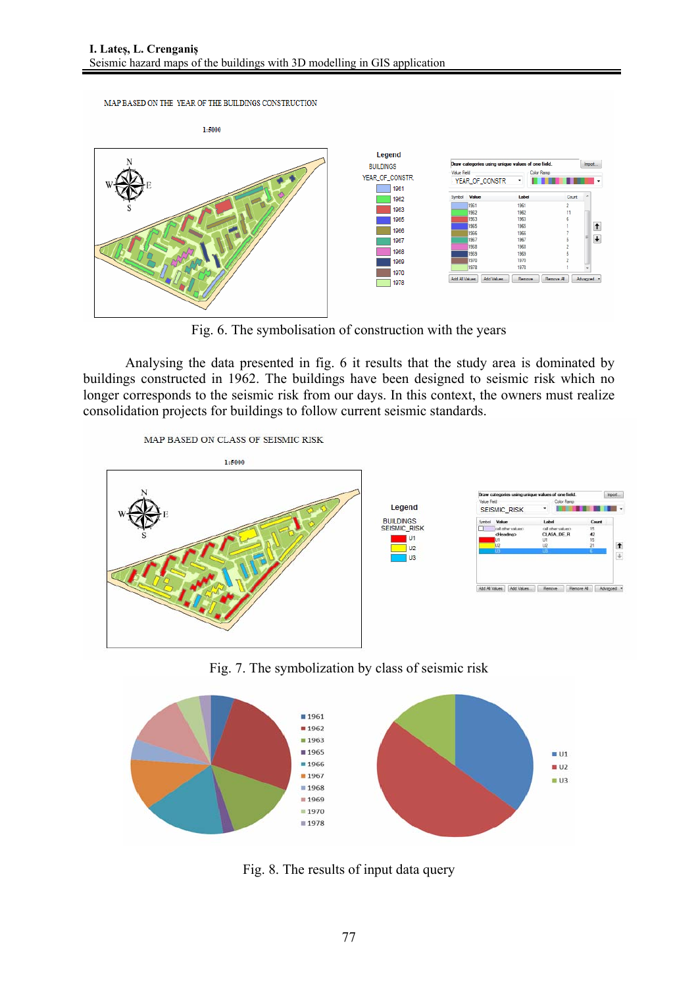MAP BASED ON THE YEAR OF THE BUILDINGS CONSTRUCTION



Fig. 6. The symbolisation of construction with the years

Analysing the data presented in fig. 6 it results that the study area is dominated by buildings constructed in 1962. The buildings have been designed to seismic risk which no longer corresponds to the seismic risk from our days. In this context, the owners must realize consolidation projects for buildings to follow current seismic standards.



Fig. 7. The symbolization by class of seismic risk



Fig. 8. The results of input data query